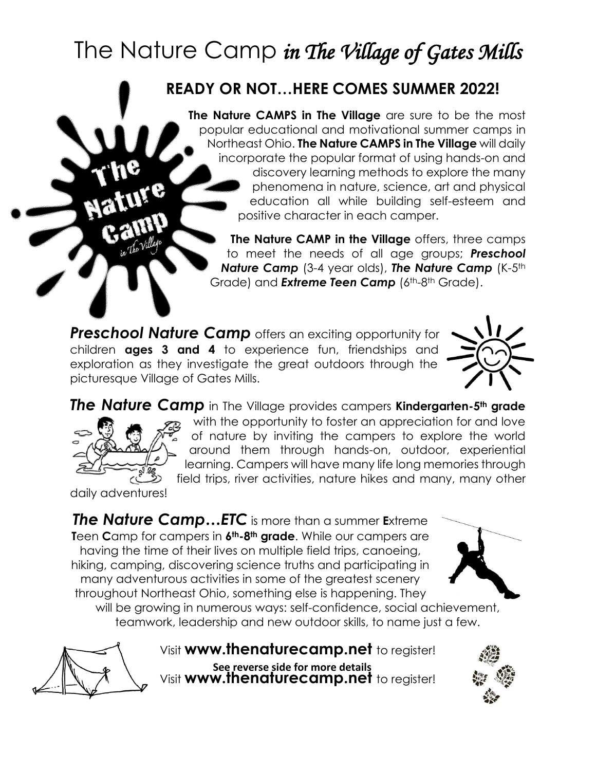# The Nature Camp *in The Village of Gates Mills*

## **READY OR NOT…HERE COMES SUMMER 2022!**

**The Nature CAMPS in The Village** are sure to be the most popular educational and motivational summer camps in Northeast Ohio. **The Nature CAMPS in The Village** will daily incorporate the popular format of using hands-on and discovery learning methods to explore the many phenomena in nature, science, art and physical education all while building self-esteem and positive character in each camper.

**The Nature CAMP in the Village** offers, three camps to meet the needs of all age groups; *Preschool*  **Nature Camp** (3-4 year olds), **The Nature Camp** (K-5th Grade) and **Extreme Teen Camp** (6<sup>th</sup>-8<sup>th</sup> Grade).

**Preschool Nature Camp** offers an exciting opportunity for children **ages 3 and 4** to experience fun, friendships and exploration as they investigate the great outdoors through the picturesque Village of Gates Mills.



*The Nature Camp* in The Village provides campers **Kindergarten-5th grade** with the opportunity to foster an appreciation for and love of nature by inviting the campers to explore the world around them through hands-on, outdoor, experiential learning. Campers will have many life long memories through field trips, river activities, nature hikes and many, many other

daily adventures!

*The Nature Camp…ETC* is more than a summer **E**xtreme **T**een **C**amp for campers in **6th-8th grade**. While our campers are having the time of their lives on multiple field trips, canoeing, hiking, camping, discovering science truths and participating in many adventurous activities in some of the greatest scenery throughout Northeast Ohio, something else is happening. They



will be growing in numerous ways: self-confidence, social achievement, teamwork, leadership and new outdoor skills, to name just a few.



Visit **www.thenaturecamp.net** to register! Visit **www.thenaturecamp.net** to register! **See reverse side for more details**